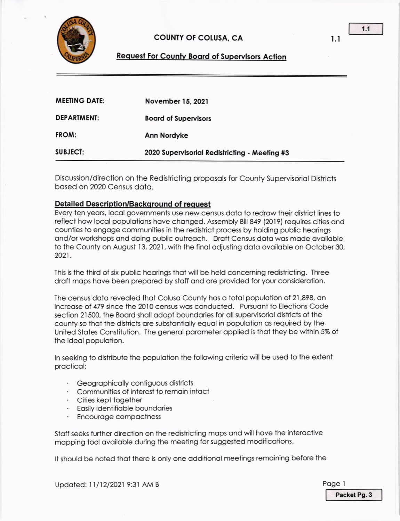

## **COUNTY OF COLUSA, CA**

### **Request For County Board of Supervisors Action**

| <b>MEETING DATE:</b> | November 15, 2021                             |
|----------------------|-----------------------------------------------|
| <b>DEPARTMENT:</b>   | <b>Board of Supervisors</b>                   |
| FROM:                | Ann Nordyke                                   |
| <b>SUBJECT:</b>      | 2020 Supervisorial Redistricting - Meeting #3 |

Discussion/direction on the Redistricting proposols for County Supervisoriol Districts bosed on 2020 Census doto.

#### Detailed Description/Background of request

Every ten yeors, locol governments use new census doto to redrow their district lines lo reflect how local populations have changed. Assembly Bill 849 (2019) requires cities and counties to engage communities in the redistrict process by holding public hearings and/or workshops and doing public outreach. Draft Census data was made available to the County on August 13, 2021, with the final adjusting data available on October 30, 2021.

This is the third of six public heorings thoi will be held concerning redislricting. Three draft maps have been prepared by staff and are provided for your consideration.

The census data revealed that Colusa County has a total population of 21,898, an increase of 479 since the 2010 census was conducted. Pursuant to Elections Code section 21500, the Board shall adopt boundaries for all supervisorial districts of the county so that the districts are substantially equal in population as required by the United States Constitution. The general parameter applied is that they be within 5% of the ideal population.

In seeking to distribute the population the following criteria will be used to the extent procticol:

- · Geographically contiguous districts
- Communilies of interest to remoin inloct
- · Cities kept together
- Easily identifiable boundaries
- Encouroge compoctness

Staff seeks further direction on the redistricting maps and will have the interactive mapping tool available during the meeting for suggested modifications.

It should be noted that there is only one additional meetings remaining before the

Updated: 11/12/2021 9:31 AM B Page 1

Packet Pg. 3

l.l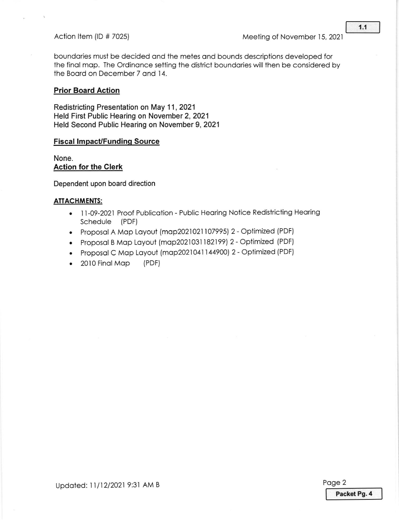boundories must be decided ond the metes ond bounds descriptions developed for the final map. The Ordinance setting the district boundaries will then be considered by the Boord on December 7 ond 14.

#### Prior Board Action

Redistricting Presentation on May 11,2021 Held First Public Hearing on November 2, 2021 Held Second Public Hearing on November 9, 202'l

#### **Fiscal Impact/Funding Source**

None. Action for the Clerk

Dependent upon board direction

#### ATIACHMENIS:

- 11-09-2021 Proof Publication Public Hearing Notice Redistricting Hearing Schedule (PDF)
- . Proposal A Map Layout (map2021021107995) 2 Optimized (PDF)
- Proposal B Map Layout (map2021031182199) 2 Optimized (PDF)
- Proposal C Map Layout (map2021041144900) 2 Optimized (PDF)
- 2010 Final Map (PDF)

Updated: 11/12/2021 9:31 AM B Page 2